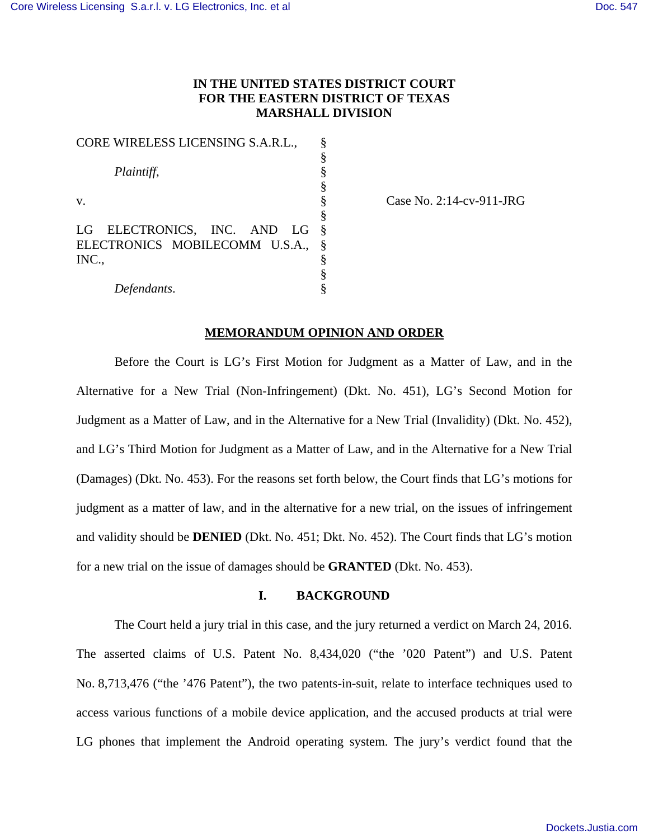# **IN THE UNITED STATES DISTRICT COURT FOR THE EASTERN DISTRICT OF TEXAS MARSHALL DIVISION**

| CORE WIRELESS LICENSING S.A.R.L., |  |
|-----------------------------------|--|
|                                   |  |
| Plaintiff,                        |  |
|                                   |  |
| V.                                |  |
|                                   |  |
| LG ELECTRONICS, INC. AND LG       |  |
| ELECTRONICS MOBILECOMM U.S.A.,    |  |
| INC                               |  |
|                                   |  |
| Defendants.                       |  |

Case No. 2:14-cv-911-JRG

### **MEMORANDUM OPINION AND ORDER**

Before the Court is LG's First Motion for Judgment as a Matter of Law, and in the Alternative for a New Trial (Non-Infringement) (Dkt. No. 451), LG's Second Motion for Judgment as a Matter of Law, and in the Alternative for a New Trial (Invalidity) (Dkt. No. 452), and LG's Third Motion for Judgment as a Matter of Law, and in the Alternative for a New Trial (Damages) (Dkt. No. 453). For the reasons set forth below, the Court finds that LG's motions for judgment as a matter of law, and in the alternative for a new trial, on the issues of infringement and validity should be **DENIED** (Dkt. No. 451; Dkt. No. 452). The Court finds that LG's motion for a new trial on the issue of damages should be **GRANTED** (Dkt. No. 453).

### **I. BACKGROUND**

The Court held a jury trial in this case, and the jury returned a verdict on March 24, 2016. The asserted claims of U.S. Patent No. 8,434,020 ("the '020 Patent") and U.S. Patent No. 8,713,476 ("the '476 Patent"), the two patents-in-suit, relate to interface techniques used to access various functions of a mobile device application, and the accused products at trial were LG phones that implement the Android operating system. The jury's verdict found that the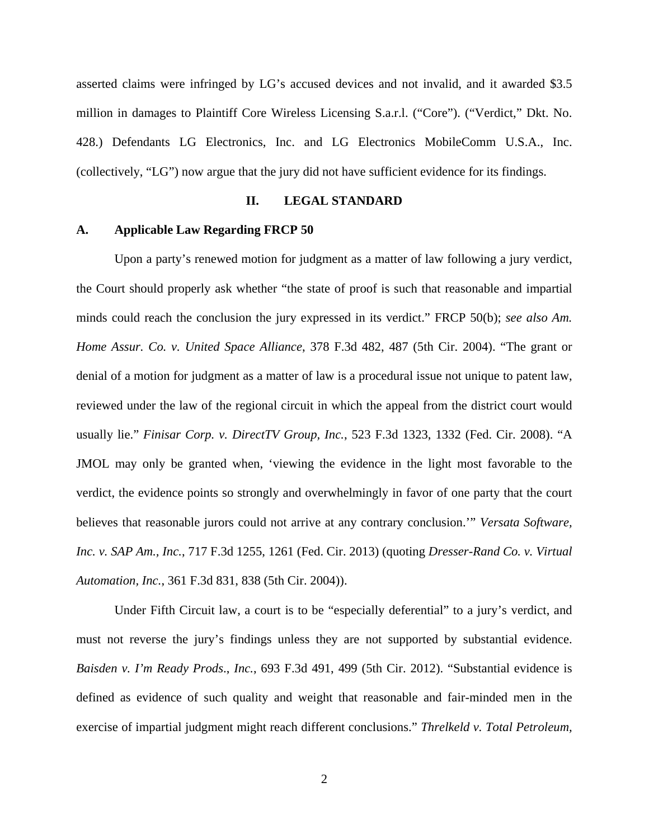asserted claims were infringed by LG's accused devices and not invalid, and it awarded \$3.5 million in damages to Plaintiff Core Wireless Licensing S.a.r.l. ("Core"). ("Verdict," Dkt. No. 428.) Defendants LG Electronics, Inc. and LG Electronics MobileComm U.S.A., Inc. (collectively, "LG") now argue that the jury did not have sufficient evidence for its findings.

## **II. LEGAL STANDARD**

### **A. Applicable Law Regarding FRCP 50**

Upon a party's renewed motion for judgment as a matter of law following a jury verdict, the Court should properly ask whether "the state of proof is such that reasonable and impartial minds could reach the conclusion the jury expressed in its verdict." FRCP 50(b); *see also Am. Home Assur. Co. v. United Space Alliance*, 378 F.3d 482, 487 (5th Cir. 2004). "The grant or denial of a motion for judgment as a matter of law is a procedural issue not unique to patent law, reviewed under the law of the regional circuit in which the appeal from the district court would usually lie." *Finisar Corp. v. DirectTV Group, Inc.*, 523 F.3d 1323, 1332 (Fed. Cir. 2008). "A JMOL may only be granted when, 'viewing the evidence in the light most favorable to the verdict, the evidence points so strongly and overwhelmingly in favor of one party that the court believes that reasonable jurors could not arrive at any contrary conclusion.'" *Versata Software, Inc. v. SAP Am., Inc.*, 717 F.3d 1255, 1261 (Fed. Cir. 2013) (quoting *Dresser-Rand Co. v. Virtual Automation, Inc.*, 361 F.3d 831, 838 (5th Cir. 2004)).

Under Fifth Circuit law, a court is to be "especially deferential" to a jury's verdict, and must not reverse the jury's findings unless they are not supported by substantial evidence. *Baisden v. I'm Ready Prods*., *Inc.*, 693 F.3d 491, 499 (5th Cir. 2012). "Substantial evidence is defined as evidence of such quality and weight that reasonable and fair-minded men in the exercise of impartial judgment might reach different conclusions." *Threlkeld v. Total Petroleum,*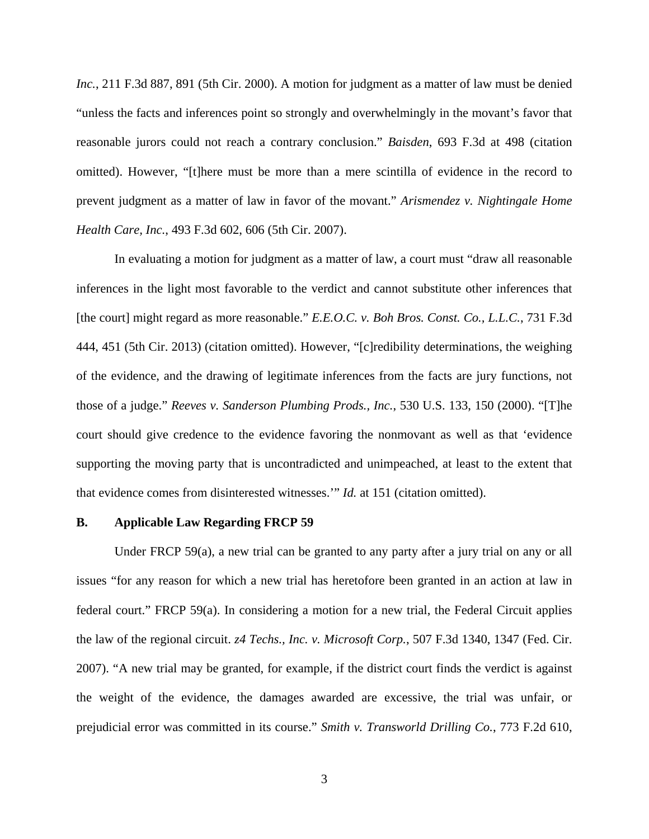*Inc.*, 211 F.3d 887, 891 (5th Cir. 2000). A motion for judgment as a matter of law must be denied "unless the facts and inferences point so strongly and overwhelmingly in the movant's favor that reasonable jurors could not reach a contrary conclusion." *Baisden*, 693 F.3d at 498 (citation omitted). However, "[t]here must be more than a mere scintilla of evidence in the record to prevent judgment as a matter of law in favor of the movant." *Arismendez v. Nightingale Home Health Care, Inc.*, 493 F.3d 602, 606 (5th Cir. 2007).

In evaluating a motion for judgment as a matter of law, a court must "draw all reasonable inferences in the light most favorable to the verdict and cannot substitute other inferences that [the court] might regard as more reasonable." *E.E.O.C. v. Boh Bros. Const. Co., L.L.C.*, 731 F.3d 444, 451 (5th Cir. 2013) (citation omitted). However, "[c]redibility determinations, the weighing of the evidence, and the drawing of legitimate inferences from the facts are jury functions, not those of a judge." *Reeves v. Sanderson Plumbing Prods., Inc.*, 530 U.S. 133, 150 (2000). "[T]he court should give credence to the evidence favoring the nonmovant as well as that 'evidence supporting the moving party that is uncontradicted and unimpeached, at least to the extent that that evidence comes from disinterested witnesses.'" *Id.* at 151 (citation omitted).

#### **B. Applicable Law Regarding FRCP 59**

Under FRCP 59(a), a new trial can be granted to any party after a jury trial on any or all issues "for any reason for which a new trial has heretofore been granted in an action at law in federal court." FRCP 59(a). In considering a motion for a new trial, the Federal Circuit applies the law of the regional circuit. *z4 Techs., Inc. v. Microsoft Corp.*, 507 F.3d 1340, 1347 (Fed. Cir. 2007). "A new trial may be granted, for example, if the district court finds the verdict is against the weight of the evidence, the damages awarded are excessive, the trial was unfair, or prejudicial error was committed in its course." *Smith v. Transworld Drilling Co.*, 773 F.2d 610,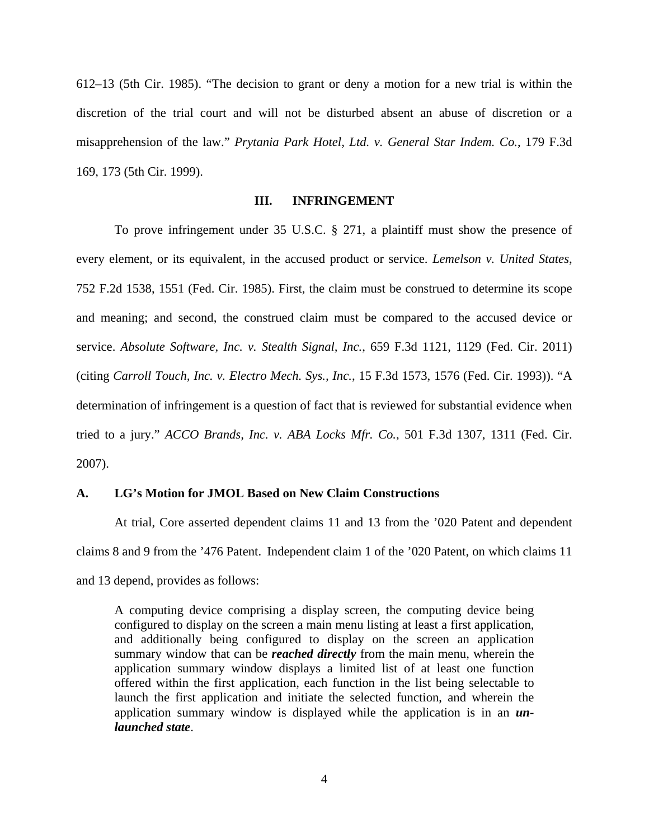612–13 (5th Cir. 1985). "The decision to grant or deny a motion for a new trial is within the discretion of the trial court and will not be disturbed absent an abuse of discretion or a misapprehension of the law." *Prytania Park Hotel, Ltd. v. General Star Indem. Co.*, 179 F.3d 169, 173 (5th Cir. 1999).

# **III. INFRINGEMENT**

To prove infringement under 35 U.S.C. § 271, a plaintiff must show the presence of every element, or its equivalent, in the accused product or service. *Lemelson v. United States*, 752 F.2d 1538, 1551 (Fed. Cir. 1985). First, the claim must be construed to determine its scope and meaning; and second, the construed claim must be compared to the accused device or service. *Absolute Software, Inc. v. Stealth Signal, Inc.*, 659 F.3d 1121, 1129 (Fed. Cir. 2011) (citing *Carroll Touch, Inc. v. Electro Mech. Sys., Inc.*, 15 F.3d 1573, 1576 (Fed. Cir. 1993)). "A determination of infringement is a question of fact that is reviewed for substantial evidence when tried to a jury." *ACCO Brands, Inc. v. ABA Locks Mfr. Co.*, 501 F.3d 1307, 1311 (Fed. Cir. 2007).

## **A. LG's Motion for JMOL Based on New Claim Constructions**

At trial, Core asserted dependent claims 11 and 13 from the '020 Patent and dependent claims 8 and 9 from the '476 Patent. Independent claim 1 of the '020 Patent, on which claims 11 and 13 depend, provides as follows:

A computing device comprising a display screen, the computing device being configured to display on the screen a main menu listing at least a first application, and additionally being configured to display on the screen an application summary window that can be *reached directly* from the main menu, wherein the application summary window displays a limited list of at least one function offered within the first application, each function in the list being selectable to launch the first application and initiate the selected function, and wherein the application summary window is displayed while the application is in an *unlaunched state*.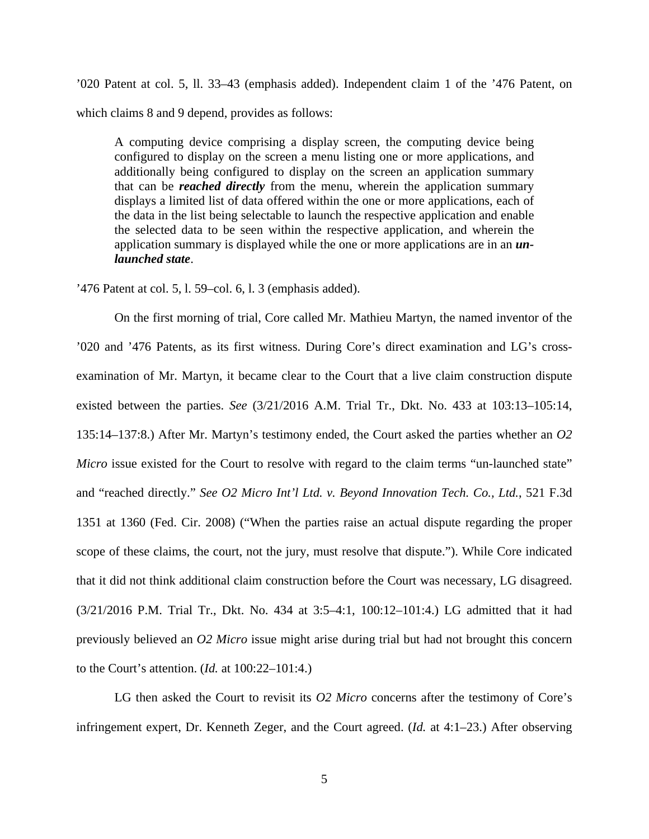'020 Patent at col. 5, ll. 33–43 (emphasis added). Independent claim 1 of the '476 Patent, on which claims 8 and 9 depend, provides as follows:

A computing device comprising a display screen, the computing device being configured to display on the screen a menu listing one or more applications, and additionally being configured to display on the screen an application summary that can be *reached directly* from the menu, wherein the application summary displays a limited list of data offered within the one or more applications, each of the data in the list being selectable to launch the respective application and enable the selected data to be seen within the respective application, and wherein the application summary is displayed while the one or more applications are in an *unlaunched state*.

'476 Patent at col. 5, l. 59–col. 6, l. 3 (emphasis added).

On the first morning of trial, Core called Mr. Mathieu Martyn, the named inventor of the '020 and '476 Patents, as its first witness. During Core's direct examination and LG's crossexamination of Mr. Martyn, it became clear to the Court that a live claim construction dispute existed between the parties. *See* (3/21/2016 A.M. Trial Tr., Dkt. No. 433 at 103:13–105:14, 135:14–137:8.) After Mr. Martyn's testimony ended, the Court asked the parties whether an *O2 Micro* issue existed for the Court to resolve with regard to the claim terms "un-launched state" and "reached directly." *See O2 Micro Int'l Ltd. v. Beyond Innovation Tech. Co., Ltd.*, 521 F.3d 1351 at 1360 (Fed. Cir. 2008) ("When the parties raise an actual dispute regarding the proper scope of these claims, the court, not the jury, must resolve that dispute."). While Core indicated that it did not think additional claim construction before the Court was necessary, LG disagreed. (3/21/2016 P.M. Trial Tr., Dkt. No. 434 at 3:5–4:1, 100:12–101:4.) LG admitted that it had previously believed an *O2 Micro* issue might arise during trial but had not brought this concern to the Court's attention. (*Id.* at 100:22–101:4.)

LG then asked the Court to revisit its *O2 Micro* concerns after the testimony of Core's infringement expert, Dr. Kenneth Zeger, and the Court agreed. (*Id.* at 4:1–23.) After observing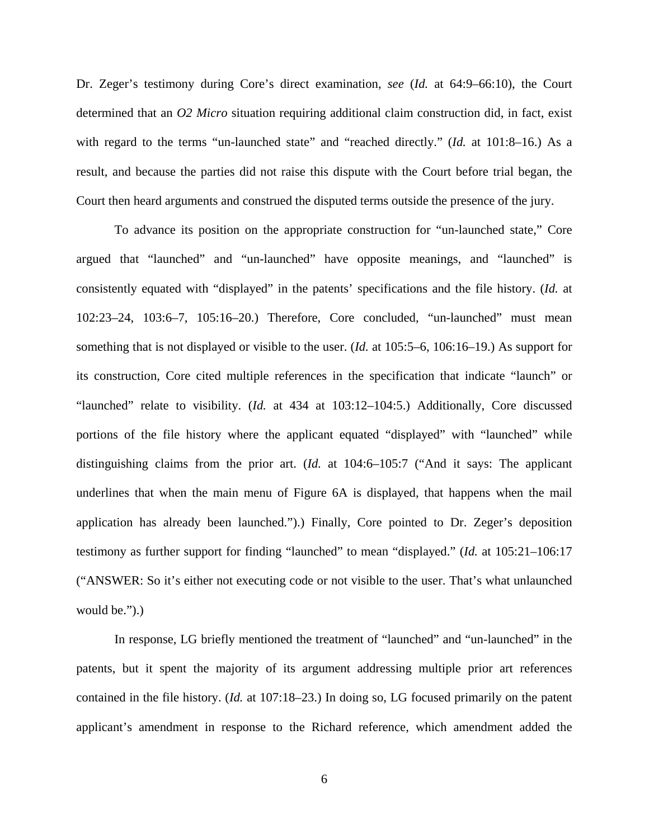Dr. Zeger's testimony during Core's direct examination, *see* (*Id.* at 64:9–66:10), the Court determined that an *O2 Micro* situation requiring additional claim construction did, in fact, exist with regard to the terms "un-launched state" and "reached directly." (*Id.* at 101:8–16.) As a result, and because the parties did not raise this dispute with the Court before trial began, the Court then heard arguments and construed the disputed terms outside the presence of the jury.

 To advance its position on the appropriate construction for "un-launched state," Core argued that "launched" and "un-launched" have opposite meanings, and "launched" is consistently equated with "displayed" in the patents' specifications and the file history. (*Id.* at 102:23–24, 103:6–7, 105:16–20.) Therefore, Core concluded, "un-launched" must mean something that is not displayed or visible to the user. (*Id.* at 105:5–6, 106:16–19.) As support for its construction, Core cited multiple references in the specification that indicate "launch" or "launched" relate to visibility. (*Id.* at 434 at 103:12–104:5.) Additionally, Core discussed portions of the file history where the applicant equated "displayed" with "launched" while distinguishing claims from the prior art. (*Id.* at 104:6–105:7 ("And it says: The applicant underlines that when the main menu of Figure 6A is displayed, that happens when the mail application has already been launched.").) Finally, Core pointed to Dr. Zeger's deposition testimony as further support for finding "launched" to mean "displayed." (*Id.* at 105:21–106:17 ("ANSWER: So it's either not executing code or not visible to the user. That's what unlaunched would be.").

In response, LG briefly mentioned the treatment of "launched" and "un-launched" in the patents, but it spent the majority of its argument addressing multiple prior art references contained in the file history. (*Id.* at 107:18–23.) In doing so, LG focused primarily on the patent applicant's amendment in response to the Richard reference, which amendment added the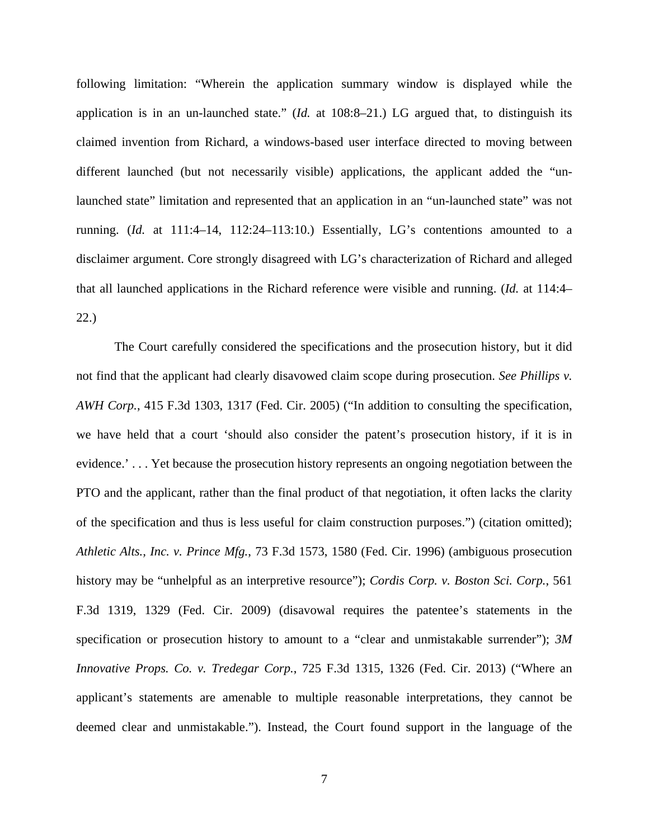following limitation: "Wherein the application summary window is displayed while the application is in an un-launched state." (*Id.* at 108:8–21.) LG argued that, to distinguish its claimed invention from Richard, a windows-based user interface directed to moving between different launched (but not necessarily visible) applications, the applicant added the "unlaunched state" limitation and represented that an application in an "un-launched state" was not running. (*Id.* at 111:4–14, 112:24–113:10.) Essentially, LG's contentions amounted to a disclaimer argument. Core strongly disagreed with LG's characterization of Richard and alleged that all launched applications in the Richard reference were visible and running. (*Id.* at 114:4– 22.)

The Court carefully considered the specifications and the prosecution history, but it did not find that the applicant had clearly disavowed claim scope during prosecution. *See Phillips v. AWH Corp.*, 415 F.3d 1303, 1317 (Fed. Cir. 2005) ("In addition to consulting the specification, we have held that a court 'should also consider the patent's prosecution history, if it is in evidence.' . . . Yet because the prosecution history represents an ongoing negotiation between the PTO and the applicant, rather than the final product of that negotiation, it often lacks the clarity of the specification and thus is less useful for claim construction purposes.") (citation omitted); *Athletic Alts., Inc. v. Prince Mfg.*, 73 F.3d 1573, 1580 (Fed. Cir. 1996) (ambiguous prosecution history may be "unhelpful as an interpretive resource"); *Cordis Corp. v. Boston Sci. Corp.*, 561 F.3d 1319, 1329 (Fed. Cir. 2009) (disavowal requires the patentee's statements in the specification or prosecution history to amount to a "clear and unmistakable surrender"); *3M Innovative Props. Co. v. Tredegar Corp.*, 725 F.3d 1315, 1326 (Fed. Cir. 2013) ("Where an applicant's statements are amenable to multiple reasonable interpretations, they cannot be deemed clear and unmistakable."). Instead, the Court found support in the language of the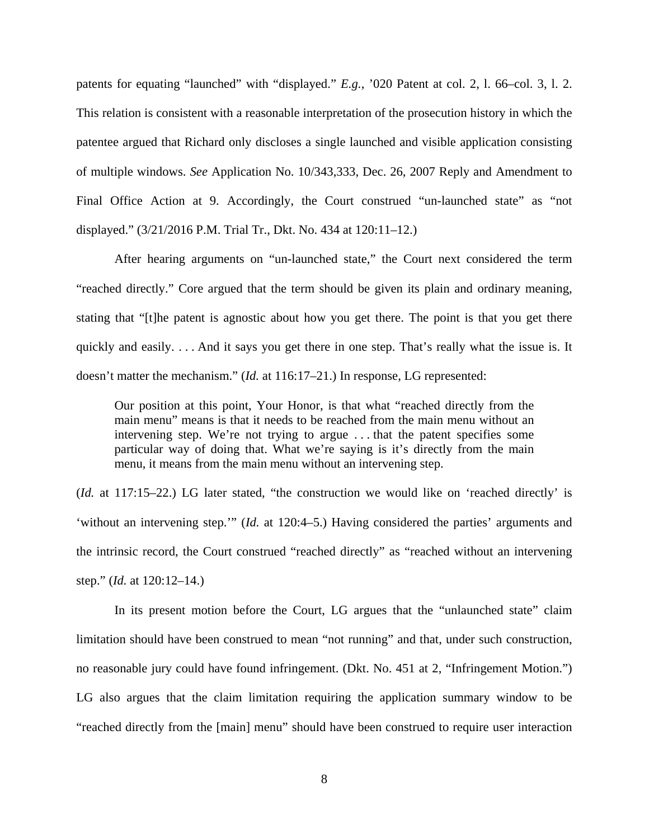patents for equating "launched" with "displayed." *E.g.*, '020 Patent at col. 2, l. 66–col. 3, l. 2. This relation is consistent with a reasonable interpretation of the prosecution history in which the patentee argued that Richard only discloses a single launched and visible application consisting of multiple windows. *See* Application No. 10/343,333, Dec. 26, 2007 Reply and Amendment to Final Office Action at 9. Accordingly, the Court construed "un-launched state" as "not displayed." (3/21/2016 P.M. Trial Tr., Dkt. No. 434 at 120:11–12.)

After hearing arguments on "un-launched state," the Court next considered the term "reached directly." Core argued that the term should be given its plain and ordinary meaning, stating that "[t]he patent is agnostic about how you get there. The point is that you get there quickly and easily. . . . And it says you get there in one step. That's really what the issue is. It doesn't matter the mechanism." (*Id.* at 116:17–21.) In response, LG represented:

Our position at this point, Your Honor, is that what "reached directly from the main menu" means is that it needs to be reached from the main menu without an intervening step. We're not trying to argue . . . that the patent specifies some particular way of doing that. What we're saying is it's directly from the main menu, it means from the main menu without an intervening step.

(*Id.* at 117:15–22.) LG later stated, "the construction we would like on 'reached directly' is 'without an intervening step.'" (*Id.* at 120:4–5.) Having considered the parties' arguments and the intrinsic record, the Court construed "reached directly" as "reached without an intervening step." (*Id.* at 120:12–14.)

In its present motion before the Court, LG argues that the "unlaunched state" claim limitation should have been construed to mean "not running" and that, under such construction, no reasonable jury could have found infringement. (Dkt. No. 451 at 2, "Infringement Motion.") LG also argues that the claim limitation requiring the application summary window to be "reached directly from the [main] menu" should have been construed to require user interaction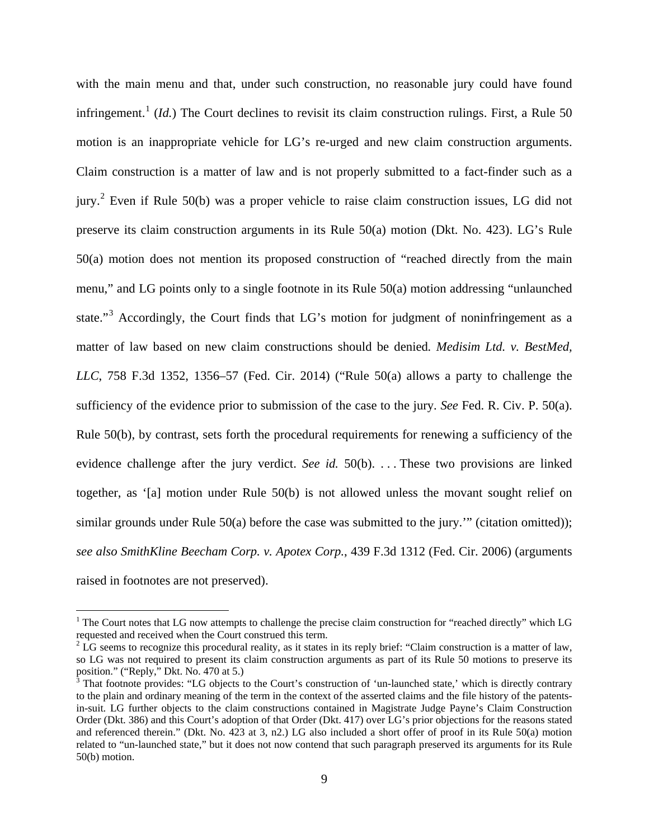with the main menu and that, under such construction, no reasonable jury could have found infringement.<sup>[1](#page-8-0)</sup> (*Id.*) The Court declines to revisit its claim construction rulings. First, a Rule 50 motion is an inappropriate vehicle for LG's re-urged and new claim construction arguments. Claim construction is a matter of law and is not properly submitted to a fact-finder such as a jury.<sup>[2](#page-8-1)</sup> Even if Rule 50(b) was a proper vehicle to raise claim construction issues, LG did not preserve its claim construction arguments in its Rule 50(a) motion (Dkt. No. 423). LG's Rule 50(a) motion does not mention its proposed construction of "reached directly from the main menu," and LG points only to a single footnote in its Rule 50(a) motion addressing "unlaunched state."<sup>[3](#page-8-2)</sup> Accordingly, the Court finds that LG's motion for judgment of noninfringement as a matter of law based on new claim constructions should be denied*. Medisim Ltd. v. BestMed, LLC*, 758 F.3d 1352, 1356–57 (Fed. Cir. 2014) ("Rule 50(a) allows a party to challenge the sufficiency of the evidence prior to submission of the case to the jury. *See* Fed. R. Civ. P. 50(a). Rule 50(b), by contrast, sets forth the procedural requirements for renewing a sufficiency of the evidence challenge after the jury verdict. *See id.* 50(b). . . . These two provisions are linked together, as '[a] motion under Rule 50(b) is not allowed unless the movant sought relief on similar grounds under Rule 50(a) before the case was submitted to the jury." (citation omitted)); *see also SmithKline Beecham Corp. v. Apotex Corp.*, 439 F.3d 1312 (Fed. Cir. 2006) (arguments raised in footnotes are not preserved).

<u>.</u>

<span id="page-8-0"></span> $<sup>1</sup>$  The Court notes that LG now attempts to challenge the precise claim construction for "reached directly" which LG</sup> requested and received when the Court construed this term.

<span id="page-8-1"></span> $2^2$  LG seems to recognize this procedural reality, as it states in its reply brief: "Claim construction is a matter of law, so LG was not required to present its claim construction arguments as part of its Rule 50 motions to preserve its position." ("Reply," Dkt. No. 470 at 5.)

<span id="page-8-2"></span>That footnote provides: "LG objects to the Court's construction of 'un-launched state,' which is directly contrary to the plain and ordinary meaning of the term in the context of the asserted claims and the file history of the patentsin-suit. LG further objects to the claim constructions contained in Magistrate Judge Payne's Claim Construction Order (Dkt. 386) and this Court's adoption of that Order (Dkt. 417) over LG's prior objections for the reasons stated and referenced therein." (Dkt. No. 423 at 3, n2.) LG also included a short offer of proof in its Rule 50(a) motion related to "un-launched state," but it does not now contend that such paragraph preserved its arguments for its Rule 50(b) motion.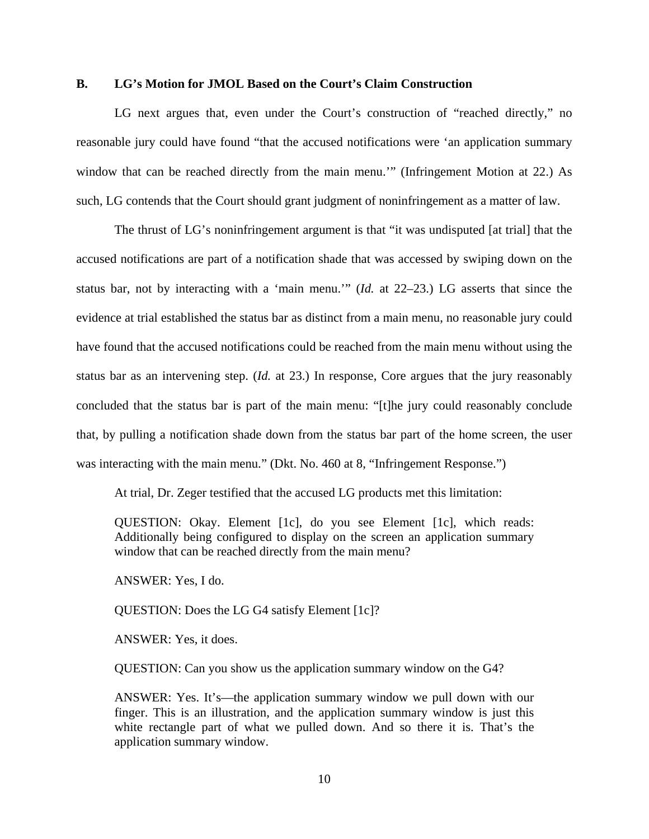## **B. LG's Motion for JMOL Based on the Court's Claim Construction**

LG next argues that, even under the Court's construction of "reached directly," no reasonable jury could have found "that the accused notifications were 'an application summary window that can be reached directly from the main menu.'" (Infringement Motion at 22.) As such, LG contends that the Court should grant judgment of noninfringement as a matter of law.

The thrust of LG's noninfringement argument is that "it was undisputed [at trial] that the accused notifications are part of a notification shade that was accessed by swiping down on the status bar, not by interacting with a 'main menu.'" (*Id.* at 22–23.) LG asserts that since the evidence at trial established the status bar as distinct from a main menu, no reasonable jury could have found that the accused notifications could be reached from the main menu without using the status bar as an intervening step. (*Id.* at 23.) In response, Core argues that the jury reasonably concluded that the status bar is part of the main menu: "[t]he jury could reasonably conclude that, by pulling a notification shade down from the status bar part of the home screen, the user was interacting with the main menu." (Dkt. No. 460 at 8, "Infringement Response.")

At trial, Dr. Zeger testified that the accused LG products met this limitation:

QUESTION: Okay. Element [1c], do you see Element [1c], which reads: Additionally being configured to display on the screen an application summary window that can be reached directly from the main menu?

ANSWER: Yes, I do.

QUESTION: Does the LG G4 satisfy Element [1c]?

ANSWER: Yes, it does.

QUESTION: Can you show us the application summary window on the G4?

ANSWER: Yes. It's—the application summary window we pull down with our finger. This is an illustration, and the application summary window is just this white rectangle part of what we pulled down. And so there it is. That's the application summary window.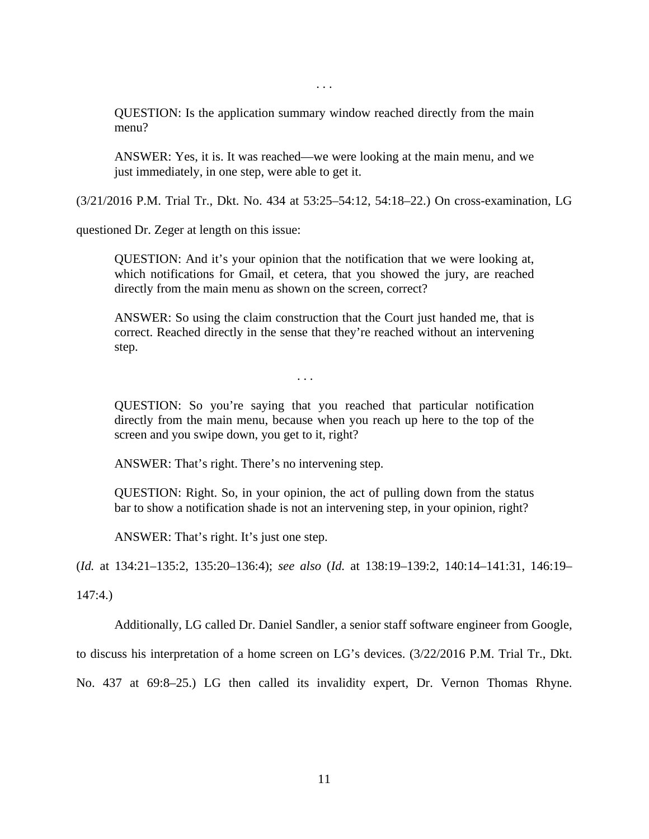. . .

QUESTION: Is the application summary window reached directly from the main menu?

ANSWER: Yes, it is. It was reached—we were looking at the main menu, and we just immediately, in one step, were able to get it.

(3/21/2016 P.M. Trial Tr., Dkt. No. 434 at 53:25–54:12, 54:18–22.) On cross-examination, LG

questioned Dr. Zeger at length on this issue:

QUESTION: And it's your opinion that the notification that we were looking at, which notifications for Gmail, et cetera, that you showed the jury, are reached directly from the main menu as shown on the screen, correct?

ANSWER: So using the claim construction that the Court just handed me, that is correct. Reached directly in the sense that they're reached without an intervening step.

. . .

QUESTION: So you're saying that you reached that particular notification directly from the main menu, because when you reach up here to the top of the screen and you swipe down, you get to it, right?

ANSWER: That's right. There's no intervening step.

QUESTION: Right. So, in your opinion, the act of pulling down from the status bar to show a notification shade is not an intervening step, in your opinion, right?

ANSWER: That's right. It's just one step.

(*Id.* at 134:21–135:2, 135:20–136:4); *see also* (*Id.* at 138:19–139:2, 140:14–141:31, 146:19–

147:4.)

Additionally, LG called Dr. Daniel Sandler, a senior staff software engineer from Google,

to discuss his interpretation of a home screen on LG's devices. (3/22/2016 P.M. Trial Tr., Dkt.

No. 437 at 69:8–25.) LG then called its invalidity expert, Dr. Vernon Thomas Rhyne.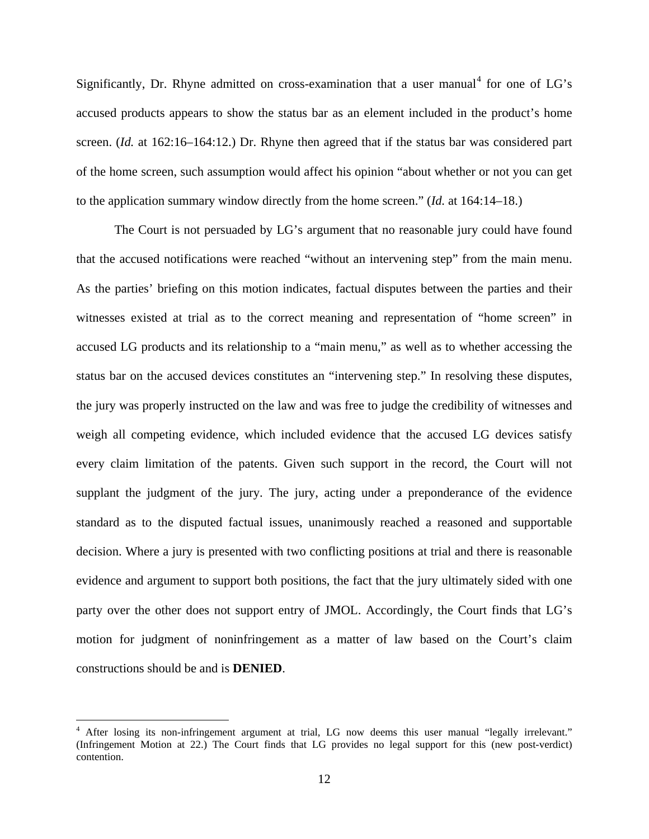Significantly, Dr. Rhyne admitted on cross-examination that a user manual<sup>[4](#page-11-0)</sup> for one of LG's accused products appears to show the status bar as an element included in the product's home screen. (*Id.* at 162:16–164:12.) Dr. Rhyne then agreed that if the status bar was considered part of the home screen, such assumption would affect his opinion "about whether or not you can get to the application summary window directly from the home screen." (*Id.* at 164:14–18.)

The Court is not persuaded by LG's argument that no reasonable jury could have found that the accused notifications were reached "without an intervening step" from the main menu. As the parties' briefing on this motion indicates, factual disputes between the parties and their witnesses existed at trial as to the correct meaning and representation of "home screen" in accused LG products and its relationship to a "main menu," as well as to whether accessing the status bar on the accused devices constitutes an "intervening step." In resolving these disputes, the jury was properly instructed on the law and was free to judge the credibility of witnesses and weigh all competing evidence, which included evidence that the accused LG devices satisfy every claim limitation of the patents. Given such support in the record, the Court will not supplant the judgment of the jury. The jury, acting under a preponderance of the evidence standard as to the disputed factual issues, unanimously reached a reasoned and supportable decision. Where a jury is presented with two conflicting positions at trial and there is reasonable evidence and argument to support both positions, the fact that the jury ultimately sided with one party over the other does not support entry of JMOL. Accordingly, the Court finds that LG's motion for judgment of noninfringement as a matter of law based on the Court's claim constructions should be and is **DENIED**.

 $\overline{a}$ 

<span id="page-11-0"></span><sup>&</sup>lt;sup>4</sup> After losing its non-infringement argument at trial, LG now deems this user manual "legally irrelevant." (Infringement Motion at 22.) The Court finds that LG provides no legal support for this (new post-verdict) contention.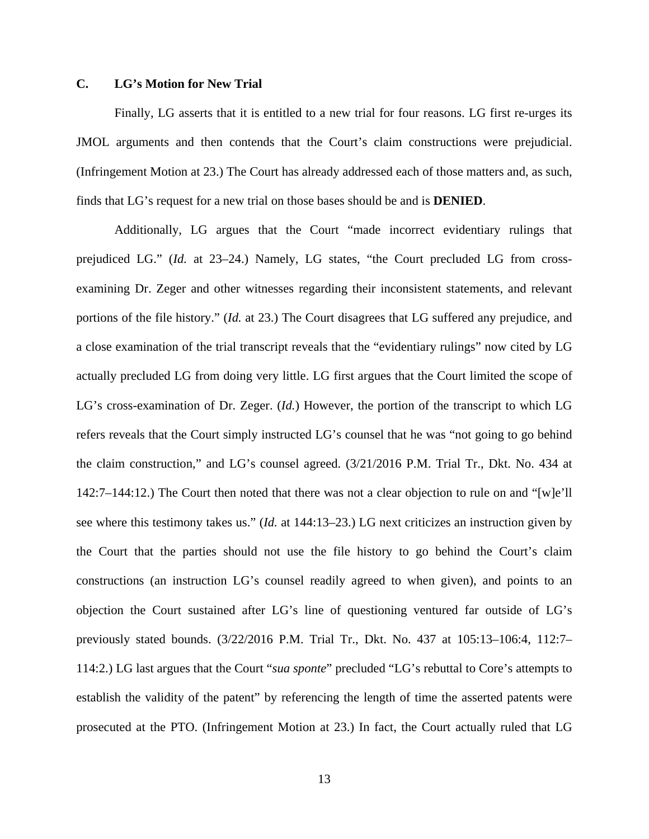# **C. LG's Motion for New Trial**

Finally, LG asserts that it is entitled to a new trial for four reasons. LG first re-urges its JMOL arguments and then contends that the Court's claim constructions were prejudicial. (Infringement Motion at 23.) The Court has already addressed each of those matters and, as such, finds that LG's request for a new trial on those bases should be and is **DENIED**.

Additionally, LG argues that the Court "made incorrect evidentiary rulings that prejudiced LG." (*Id.* at 23–24.) Namely, LG states, "the Court precluded LG from crossexamining Dr. Zeger and other witnesses regarding their inconsistent statements, and relevant portions of the file history." (*Id.* at 23.) The Court disagrees that LG suffered any prejudice, and a close examination of the trial transcript reveals that the "evidentiary rulings" now cited by LG actually precluded LG from doing very little. LG first argues that the Court limited the scope of LG's cross-examination of Dr. Zeger. (*Id.*) However, the portion of the transcript to which LG refers reveals that the Court simply instructed LG's counsel that he was "not going to go behind the claim construction," and LG's counsel agreed. (3/21/2016 P.M. Trial Tr., Dkt. No. 434 at 142:7–144:12.) The Court then noted that there was not a clear objection to rule on and "[w]e'll see where this testimony takes us." (*Id.* at 144:13–23.) LG next criticizes an instruction given by the Court that the parties should not use the file history to go behind the Court's claim constructions (an instruction LG's counsel readily agreed to when given), and points to an objection the Court sustained after LG's line of questioning ventured far outside of LG's previously stated bounds. (3/22/2016 P.M. Trial Tr., Dkt. No. 437 at 105:13–106:4, 112:7– 114:2.) LG last argues that the Court "*sua sponte*" precluded "LG's rebuttal to Core's attempts to establish the validity of the patent" by referencing the length of time the asserted patents were prosecuted at the PTO. (Infringement Motion at 23.) In fact, the Court actually ruled that LG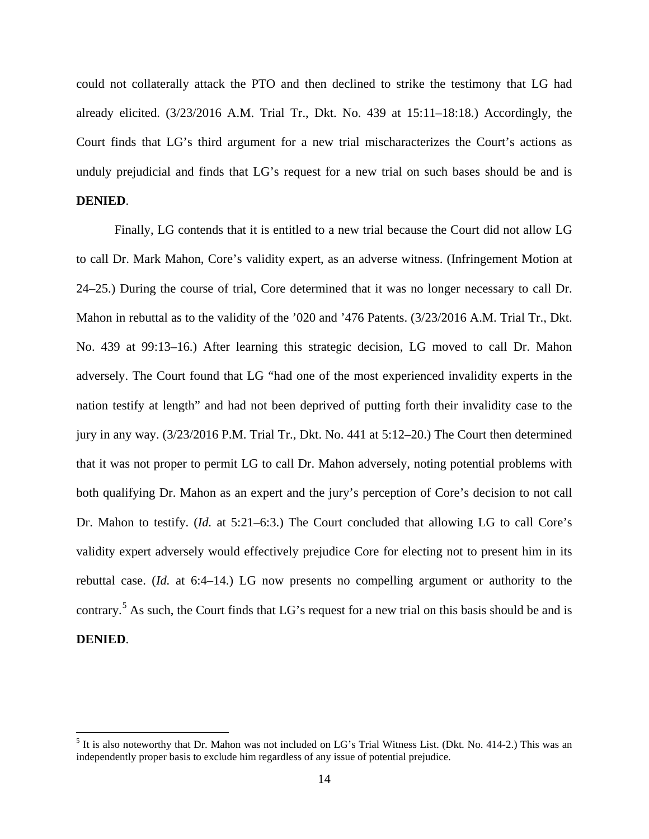could not collaterally attack the PTO and then declined to strike the testimony that LG had already elicited.  $(3/23/2016$  A.M. Trial Tr., Dkt. No. 439 at  $15:11-18:18$ .) Accordingly, the Court finds that LG's third argument for a new trial mischaracterizes the Court's actions as unduly prejudicial and finds that LG's request for a new trial on such bases should be and is **DENIED**.

Finally, LG contends that it is entitled to a new trial because the Court did not allow LG to call Dr. Mark Mahon, Core's validity expert, as an adverse witness. (Infringement Motion at 24–25.) During the course of trial, Core determined that it was no longer necessary to call Dr. Mahon in rebuttal as to the validity of the '020 and '476 Patents. (3/23/2016 A.M. Trial Tr., Dkt. No. 439 at 99:13–16.) After learning this strategic decision, LG moved to call Dr. Mahon adversely. The Court found that LG "had one of the most experienced invalidity experts in the nation testify at length" and had not been deprived of putting forth their invalidity case to the jury in any way. (3/23/2016 P.M. Trial Tr., Dkt. No. 441 at 5:12–20.) The Court then determined that it was not proper to permit LG to call Dr. Mahon adversely, noting potential problems with both qualifying Dr. Mahon as an expert and the jury's perception of Core's decision to not call Dr. Mahon to testify. (*Id.* at 5:21–6:3.) The Court concluded that allowing LG to call Core's validity expert adversely would effectively prejudice Core for electing not to present him in its rebuttal case. (*Id.* at 6:4–14.) LG now presents no compelling argument or authority to the contrary.<sup>[5](#page-13-0)</sup> As such, the Court finds that LG's request for a new trial on this basis should be and is **DENIED**.

 $\overline{a}$ 

<span id="page-13-0"></span><sup>&</sup>lt;sup>5</sup> It is also noteworthy that Dr. Mahon was not included on LG's Trial Witness List. (Dkt. No. 414-2.) This was an independently proper basis to exclude him regardless of any issue of potential prejudice.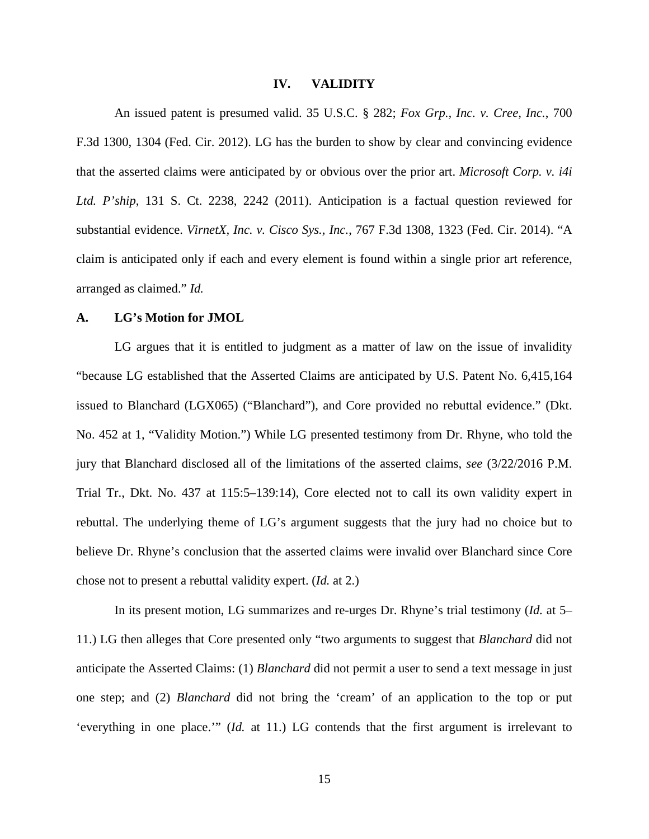#### **IV. VALIDITY**

An issued patent is presumed valid. 35 U.S.C. § 282; *Fox Grp., Inc. v. Cree, Inc.*, 700 F.3d 1300, 1304 (Fed. Cir. 2012). LG has the burden to show by clear and convincing evidence that the asserted claims were anticipated by or obvious over the prior art. *Microsoft Corp. v. i4i Ltd. P'ship*, 131 S. Ct. 2238, 2242 (2011). Anticipation is a factual question reviewed for substantial evidence. *VirnetX, Inc. v. Cisco Sys., Inc.*, 767 F.3d 1308, 1323 (Fed. Cir. 2014). "A claim is anticipated only if each and every element is found within a single prior art reference, arranged as claimed." *Id.*

#### **A. LG's Motion for JMOL**

LG argues that it is entitled to judgment as a matter of law on the issue of invalidity "because LG established that the Asserted Claims are anticipated by U.S. Patent No. 6,415,164 issued to Blanchard (LGX065) ("Blanchard"), and Core provided no rebuttal evidence." (Dkt. No. 452 at 1, "Validity Motion.") While LG presented testimony from Dr. Rhyne, who told the jury that Blanchard disclosed all of the limitations of the asserted claims, *see* (3/22/2016 P.M. Trial Tr., Dkt. No. 437 at 115:5–139:14), Core elected not to call its own validity expert in rebuttal. The underlying theme of LG's argument suggests that the jury had no choice but to believe Dr. Rhyne's conclusion that the asserted claims were invalid over Blanchard since Core chose not to present a rebuttal validity expert. (*Id.* at 2.)

In its present motion, LG summarizes and re-urges Dr. Rhyne's trial testimony (*Id.* at 5– 11.) LG then alleges that Core presented only "two arguments to suggest that *Blanchard* did not anticipate the Asserted Claims: (1) *Blanchard* did not permit a user to send a text message in just one step; and (2) *Blanchard* did not bring the 'cream' of an application to the top or put 'everything in one place.'" (*Id.* at 11.) LG contends that the first argument is irrelevant to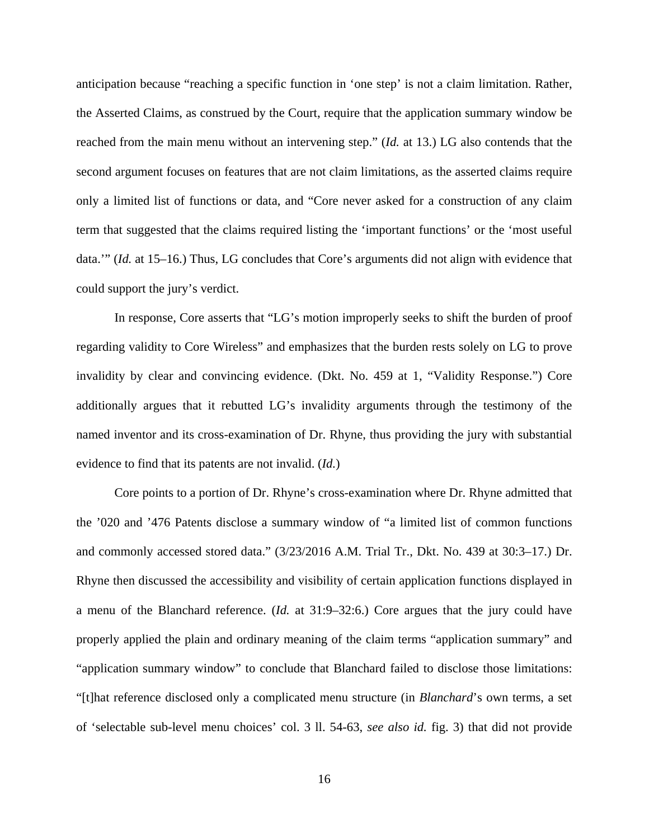anticipation because "reaching a specific function in 'one step' is not a claim limitation. Rather, the Asserted Claims, as construed by the Court, require that the application summary window be reached from the main menu without an intervening step." (*Id.* at 13.) LG also contends that the second argument focuses on features that are not claim limitations, as the asserted claims require only a limited list of functions or data, and "Core never asked for a construction of any claim term that suggested that the claims required listing the 'important functions' or the 'most useful data.'" (*Id.* at 15–16.) Thus, LG concludes that Core's arguments did not align with evidence that could support the jury's verdict.

In response, Core asserts that "LG's motion improperly seeks to shift the burden of proof regarding validity to Core Wireless" and emphasizes that the burden rests solely on LG to prove invalidity by clear and convincing evidence. (Dkt. No. 459 at 1, "Validity Response.") Core additionally argues that it rebutted LG's invalidity arguments through the testimony of the named inventor and its cross-examination of Dr. Rhyne, thus providing the jury with substantial evidence to find that its patents are not invalid. (*Id.*)

Core points to a portion of Dr. Rhyne's cross-examination where Dr. Rhyne admitted that the '020 and '476 Patents disclose a summary window of "a limited list of common functions and commonly accessed stored data." (3/23/2016 A.M. Trial Tr., Dkt. No. 439 at 30:3–17.) Dr. Rhyne then discussed the accessibility and visibility of certain application functions displayed in a menu of the Blanchard reference. (*Id.* at 31:9–32:6.) Core argues that the jury could have properly applied the plain and ordinary meaning of the claim terms "application summary" and "application summary window" to conclude that Blanchard failed to disclose those limitations: "[t]hat reference disclosed only a complicated menu structure (in *Blanchard*'s own terms, a set of 'selectable sub-level menu choices' col. 3 ll. 54-63, *see also id.* fig. 3) that did not provide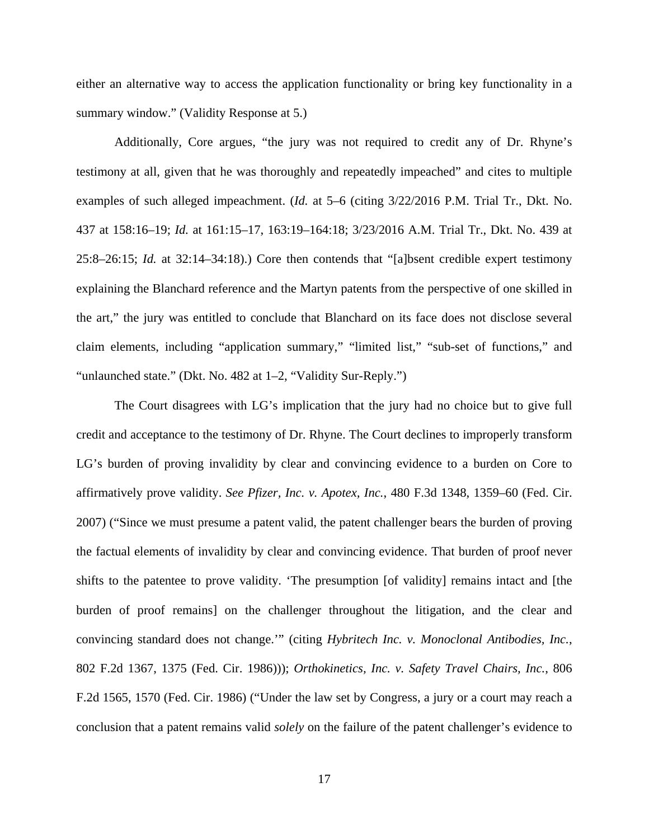either an alternative way to access the application functionality or bring key functionality in a summary window." (Validity Response at 5.)

Additionally, Core argues, "the jury was not required to credit any of Dr. Rhyne's testimony at all, given that he was thoroughly and repeatedly impeached" and cites to multiple examples of such alleged impeachment. (*Id.* at 5–6 (citing 3/22/2016 P.M. Trial Tr., Dkt. No. 437 at 158:16–19; *Id.* at 161:15–17, 163:19–164:18; 3/23/2016 A.M. Trial Tr., Dkt. No. 439 at 25:8–26:15; *Id.* at 32:14–34:18).) Core then contends that "[a]bsent credible expert testimony explaining the Blanchard reference and the Martyn patents from the perspective of one skilled in the art," the jury was entitled to conclude that Blanchard on its face does not disclose several claim elements, including "application summary," "limited list," "sub-set of functions," and "unlaunched state." (Dkt. No. 482 at 1–2, "Validity Sur-Reply.")

The Court disagrees with LG's implication that the jury had no choice but to give full credit and acceptance to the testimony of Dr. Rhyne. The Court declines to improperly transform LG's burden of proving invalidity by clear and convincing evidence to a burden on Core to affirmatively prove validity. *See Pfizer, Inc. v. Apotex, Inc.*, 480 F.3d 1348, 1359–60 (Fed. Cir. 2007) ("Since we must presume a patent valid, the patent challenger bears the burden of proving the factual elements of invalidity by clear and convincing evidence. That burden of proof never shifts to the patentee to prove validity. 'The presumption [of validity] remains intact and [the burden of proof remains] on the challenger throughout the litigation, and the clear and convincing standard does not change.'" (citing *Hybritech Inc. v. Monoclonal Antibodies, Inc.*, 802 F.2d 1367, 1375 (Fed. Cir. 1986))); *Orthokinetics, Inc. v. Safety Travel Chairs, Inc.*, 806 F.2d 1565, 1570 (Fed. Cir. 1986) ("Under the law set by Congress, a jury or a court may reach a conclusion that a patent remains valid *solely* on the failure of the patent challenger's evidence to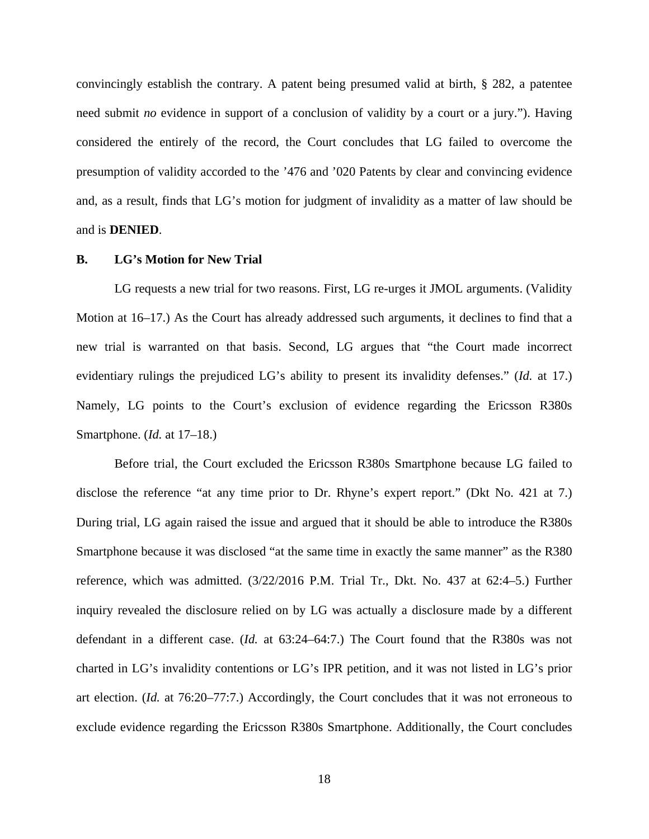convincingly establish the contrary. A patent being presumed valid at birth, § 282, a patentee need submit *no* evidence in support of a conclusion of validity by a court or a jury."). Having considered the entirely of the record, the Court concludes that LG failed to overcome the presumption of validity accorded to the '476 and '020 Patents by clear and convincing evidence and, as a result, finds that LG's motion for judgment of invalidity as a matter of law should be and is **DENIED**.

### **B. LG's Motion for New Trial**

LG requests a new trial for two reasons. First, LG re-urges it JMOL arguments. (Validity Motion at 16–17.) As the Court has already addressed such arguments, it declines to find that a new trial is warranted on that basis. Second, LG argues that "the Court made incorrect evidentiary rulings the prejudiced LG's ability to present its invalidity defenses." (*Id.* at 17.) Namely, LG points to the Court's exclusion of evidence regarding the Ericsson R380s Smartphone. (*Id.* at 17–18.)

Before trial, the Court excluded the Ericsson R380s Smartphone because LG failed to disclose the reference "at any time prior to Dr. Rhyne's expert report." (Dkt No. 421 at 7.) During trial, LG again raised the issue and argued that it should be able to introduce the R380s Smartphone because it was disclosed "at the same time in exactly the same manner" as the R380 reference, which was admitted. (3/22/2016 P.M. Trial Tr., Dkt. No. 437 at 62:4–5.) Further inquiry revealed the disclosure relied on by LG was actually a disclosure made by a different defendant in a different case. (*Id.* at 63:24–64:7.) The Court found that the R380s was not charted in LG's invalidity contentions or LG's IPR petition, and it was not listed in LG's prior art election. (*Id.* at 76:20–77:7.) Accordingly, the Court concludes that it was not erroneous to exclude evidence regarding the Ericsson R380s Smartphone. Additionally, the Court concludes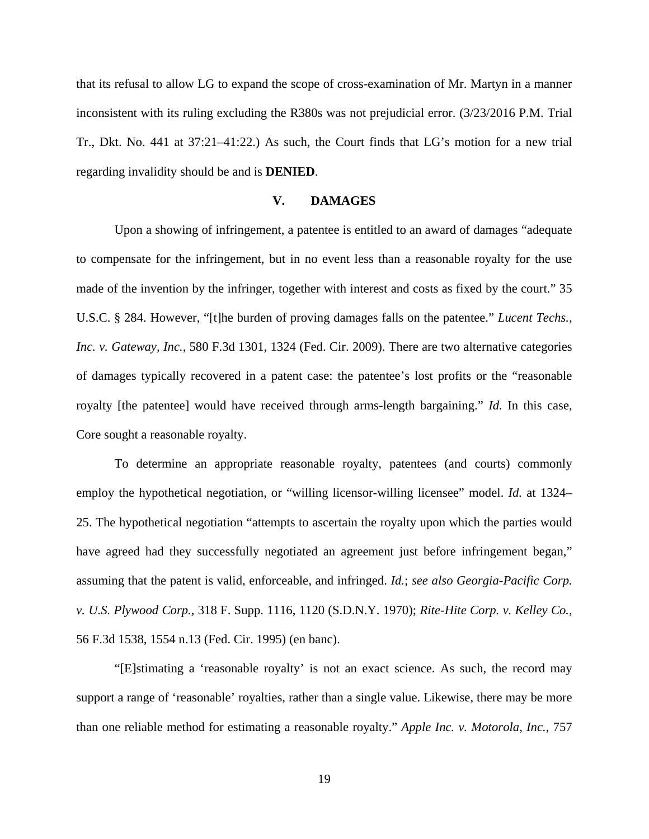that its refusal to allow LG to expand the scope of cross-examination of Mr. Martyn in a manner inconsistent with its ruling excluding the R380s was not prejudicial error. (3/23/2016 P.M. Trial Tr., Dkt. No. 441 at 37:21–41:22.) As such, the Court finds that LG's motion for a new trial regarding invalidity should be and is **DENIED**.

# **V. DAMAGES**

Upon a showing of infringement, a patentee is entitled to an award of damages "adequate to compensate for the infringement, but in no event less than a reasonable royalty for the use made of the invention by the infringer, together with interest and costs as fixed by the court." 35 U.S.C. § 284. However, "[t]he burden of proving damages falls on the patentee." *Lucent Techs., Inc. v. Gateway, Inc.*, 580 F.3d 1301, 1324 (Fed. Cir. 2009). There are two alternative categories of damages typically recovered in a patent case: the patentee's lost profits or the "reasonable royalty [the patentee] would have received through arms-length bargaining." *Id.* In this case, Core sought a reasonable royalty.

To determine an appropriate reasonable royalty, patentees (and courts) commonly employ the hypothetical negotiation, or "willing licensor-willing licensee" model. *Id.* at 1324– 25. The hypothetical negotiation "attempts to ascertain the royalty upon which the parties would have agreed had they successfully negotiated an agreement just before infringement began," assuming that the patent is valid, enforceable, and infringed. *Id.*; *see also Georgia-Pacific Corp. v. U.S. Plywood Corp.*, 318 F. Supp. 1116, 1120 (S.D.N.Y. 1970); *Rite-Hite Corp. v. Kelley Co.*, 56 F.3d 1538, 1554 n.13 (Fed. Cir. 1995) (en banc).

"[E]stimating a 'reasonable royalty' is not an exact science. As such, the record may support a range of 'reasonable' royalties, rather than a single value. Likewise, there may be more than one reliable method for estimating a reasonable royalty." *Apple Inc. v. Motorola, Inc.*, 757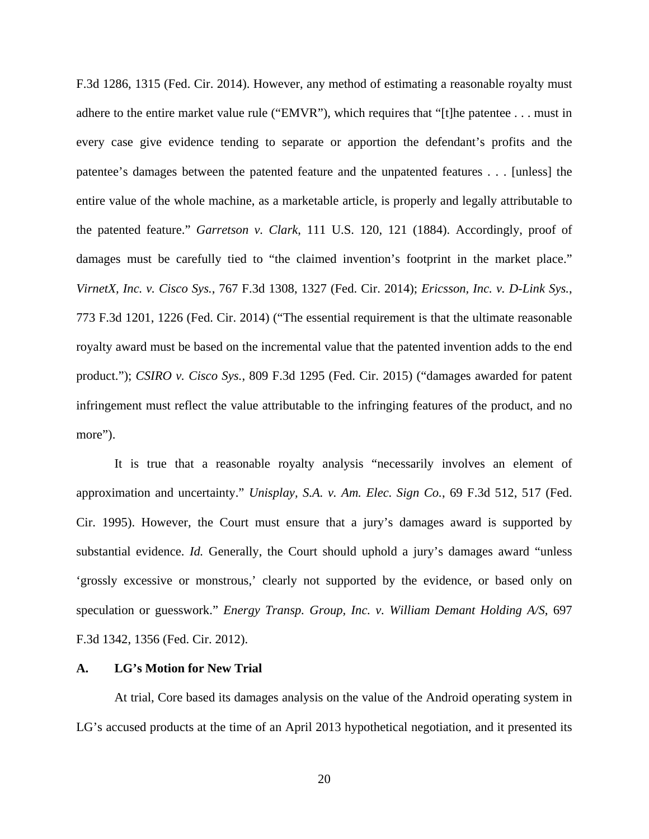F.3d 1286, 1315 (Fed. Cir. 2014). However, any method of estimating a reasonable royalty must adhere to the entire market value rule ("EMVR"), which requires that "[t]he patentee . . . must in every case give evidence tending to separate or apportion the defendant's profits and the patentee's damages between the patented feature and the unpatented features . . . [unless] the entire value of the whole machine, as a marketable article, is properly and legally attributable to the patented feature." *Garretson v. Clark*, 111 U.S. 120, 121 (1884). Accordingly, proof of damages must be carefully tied to "the claimed invention's footprint in the market place." *VirnetX, Inc. v. Cisco Sys.*, 767 F.3d 1308, 1327 (Fed. Cir. 2014); *Ericsson, Inc. v. D-Link Sys.*, 773 F.3d 1201, 1226 (Fed. Cir. 2014) ("The essential requirement is that the ultimate reasonable royalty award must be based on the incremental value that the patented invention adds to the end product."); *CSIRO v. Cisco Sys.*, 809 F.3d 1295 (Fed. Cir. 2015) ("damages awarded for patent infringement must reflect the value attributable to the infringing features of the product, and no more").

It is true that a reasonable royalty analysis "necessarily involves an element of approximation and uncertainty." *Unisplay, S.A. v. Am. Elec. Sign Co.*, 69 F.3d 512, 517 (Fed. Cir. 1995). However, the Court must ensure that a jury's damages award is supported by substantial evidence. *Id.* Generally, the Court should uphold a jury's damages award "unless" 'grossly excessive or monstrous,' clearly not supported by the evidence, or based only on speculation or guesswork." *Energy Transp. Group, Inc. v. William Demant Holding A/S*, 697 F.3d 1342, 1356 (Fed. Cir. 2012).

## **A. LG's Motion for New Trial**

At trial, Core based its damages analysis on the value of the Android operating system in LG's accused products at the time of an April 2013 hypothetical negotiation, and it presented its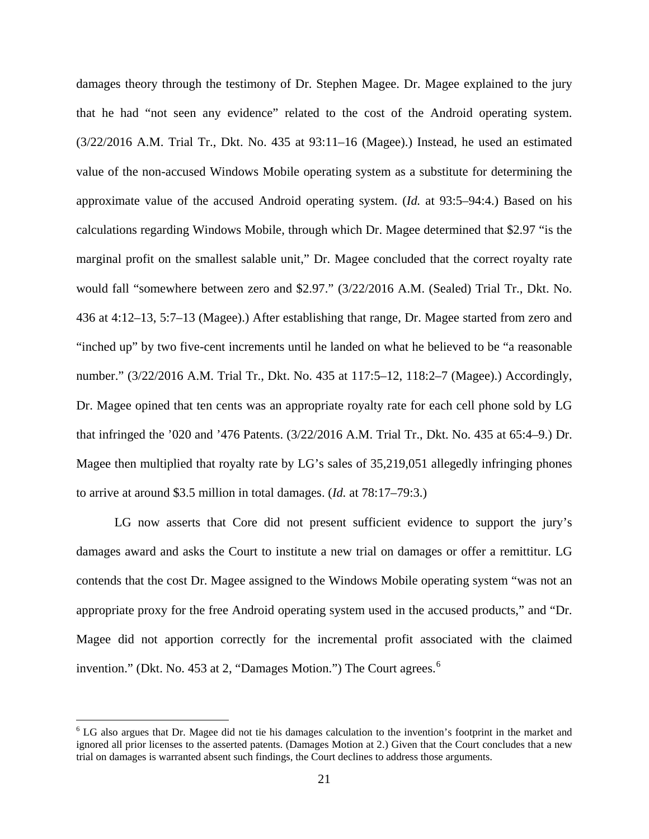damages theory through the testimony of Dr. Stephen Magee. Dr. Magee explained to the jury that he had "not seen any evidence" related to the cost of the Android operating system. (3/22/2016 A.M. Trial Tr., Dkt. No. 435 at 93:11–16 (Magee).) Instead, he used an estimated value of the non-accused Windows Mobile operating system as a substitute for determining the approximate value of the accused Android operating system. (*Id.* at 93:5–94:4.) Based on his calculations regarding Windows Mobile, through which Dr. Magee determined that \$2.97 "is the marginal profit on the smallest salable unit," Dr. Magee concluded that the correct royalty rate would fall "somewhere between zero and \$2.97." (3/22/2016 A.M. (Sealed) Trial Tr., Dkt. No. 436 at 4:12–13, 5:7–13 (Magee).) After establishing that range, Dr. Magee started from zero and "inched up" by two five-cent increments until he landed on what he believed to be "a reasonable number." (3/22/2016 A.M. Trial Tr., Dkt. No. 435 at 117:5–12, 118:2–7 (Magee).) Accordingly, Dr. Magee opined that ten cents was an appropriate royalty rate for each cell phone sold by LG that infringed the '020 and '476 Patents. (3/22/2016 A.M. Trial Tr., Dkt. No. 435 at 65:4–9.) Dr. Magee then multiplied that royalty rate by LG's sales of 35,219,051 allegedly infringing phones to arrive at around \$3.5 million in total damages. (*Id.* at 78:17–79:3.)

LG now asserts that Core did not present sufficient evidence to support the jury's damages award and asks the Court to institute a new trial on damages or offer a remittitur. LG contends that the cost Dr. Magee assigned to the Windows Mobile operating system "was not an appropriate proxy for the free Android operating system used in the accused products," and "Dr. Magee did not apportion correctly for the incremental profit associated with the claimed invention." (Dkt. No. 453 at 2, "Damages Motion.") The Court agrees.<sup>[6](#page-20-0)</sup>

<u>.</u>

<span id="page-20-0"></span><sup>&</sup>lt;sup>6</sup> LG also argues that Dr. Magee did not tie his damages calculation to the invention's footprint in the market and ignored all prior licenses to the asserted patents. (Damages Motion at 2.) Given that the Court concludes that a new trial on damages is warranted absent such findings, the Court declines to address those arguments.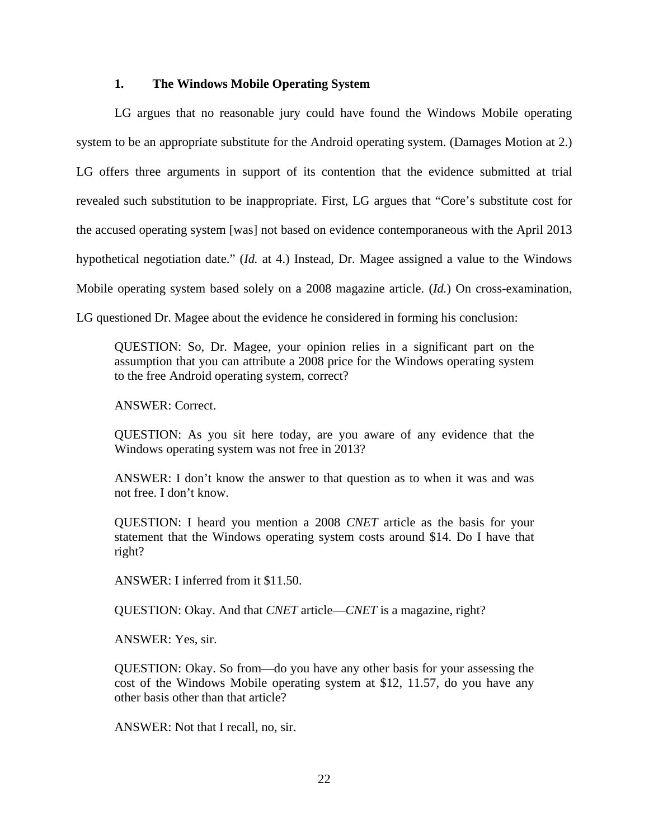### **1. The Windows Mobile Operating System**

LG argues that no reasonable jury could have found the Windows Mobile operating system to be an appropriate substitute for the Android operating system. (Damages Motion at 2.) LG offers three arguments in support of its contention that the evidence submitted at trial revealed such substitution to be inappropriate. First, LG argues that "Core's substitute cost for the accused operating system [was] not based on evidence contemporaneous with the April 2013 hypothetical negotiation date." (*Id.* at 4.) Instead, Dr. Magee assigned a value to the Windows Mobile operating system based solely on a 2008 magazine article. (*Id.*) On cross-examination, LG questioned Dr. Magee about the evidence he considered in forming his conclusion:

QUESTION: So, Dr. Magee, your opinion relies in a significant part on the assumption that you can attribute a 2008 price for the Windows operating system to the free Android operating system, correct?

ANSWER: Correct.

QUESTION: As you sit here today, are you aware of any evidence that the Windows operating system was not free in 2013?

ANSWER: I don't know the answer to that question as to when it was and was not free. I don't know.

QUESTION: I heard you mention a 2008 *CNET* article as the basis for your statement that the Windows operating system costs around \$14. Do I have that right?

ANSWER: I inferred from it \$11.50.

QUESTION: Okay. And that *CNET* article—*CNET* is a magazine, right?

ANSWER: Yes, sir.

QUESTION: Okay. So from—do you have any other basis for your assessing the cost of the Windows Mobile operating system at \$12, 11.57, do you have any other basis other than that article?

ANSWER: Not that I recall, no, sir.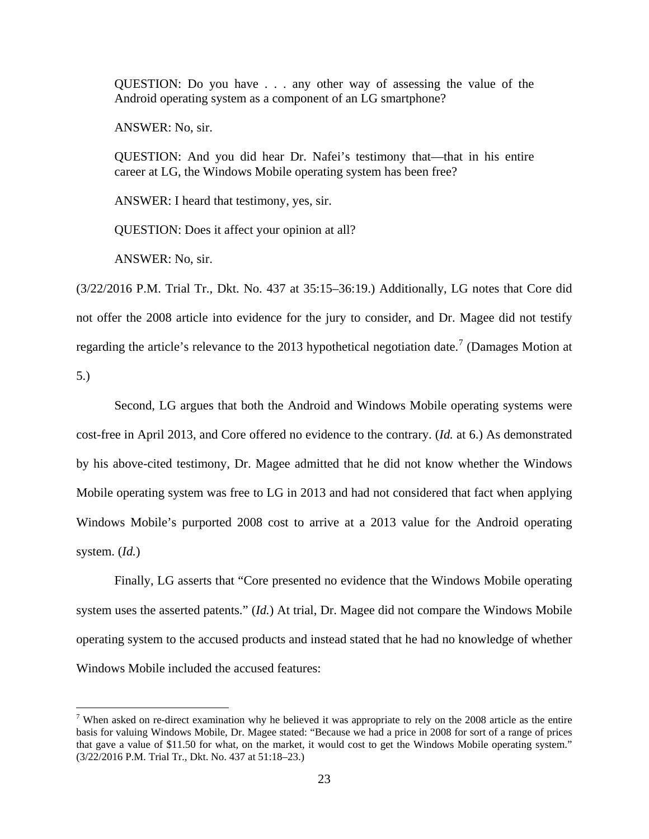QUESTION: Do you have . . . any other way of assessing the value of the Android operating system as a component of an LG smartphone?

ANSWER: No, sir.

QUESTION: And you did hear Dr. Nafei's testimony that—that in his entire career at LG, the Windows Mobile operating system has been free?

ANSWER: I heard that testimony, yes, sir.

QUESTION: Does it affect your opinion at all?

ANSWER: No, sir.

(3/22/2016 P.M. Trial Tr., Dkt. No. 437 at 35:15–36:19.) Additionally, LG notes that Core did not offer the 2008 article into evidence for the jury to consider, and Dr. Magee did not testify regarding the article's relevance to the 2013 hypothetical negotiation date.<sup>[7](#page-22-0)</sup> (Damages Motion at

5.)

 $\overline{a}$ 

Second, LG argues that both the Android and Windows Mobile operating systems were cost-free in April 2013, and Core offered no evidence to the contrary. (*Id.* at 6.) As demonstrated by his above-cited testimony, Dr. Magee admitted that he did not know whether the Windows Mobile operating system was free to LG in 2013 and had not considered that fact when applying Windows Mobile's purported 2008 cost to arrive at a 2013 value for the Android operating system. (*Id.*)

Finally, LG asserts that "Core presented no evidence that the Windows Mobile operating system uses the asserted patents." (*Id.*) At trial, Dr. Magee did not compare the Windows Mobile operating system to the accused products and instead stated that he had no knowledge of whether Windows Mobile included the accused features:

<span id="page-22-0"></span><sup>&</sup>lt;sup>7</sup> When asked on re-direct examination why he believed it was appropriate to rely on the 2008 article as the entire basis for valuing Windows Mobile, Dr. Magee stated: "Because we had a price in 2008 for sort of a range of prices that gave a value of \$11.50 for what, on the market, it would cost to get the Windows Mobile operating system." (3/22/2016 P.M. Trial Tr., Dkt. No. 437 at 51:18–23.)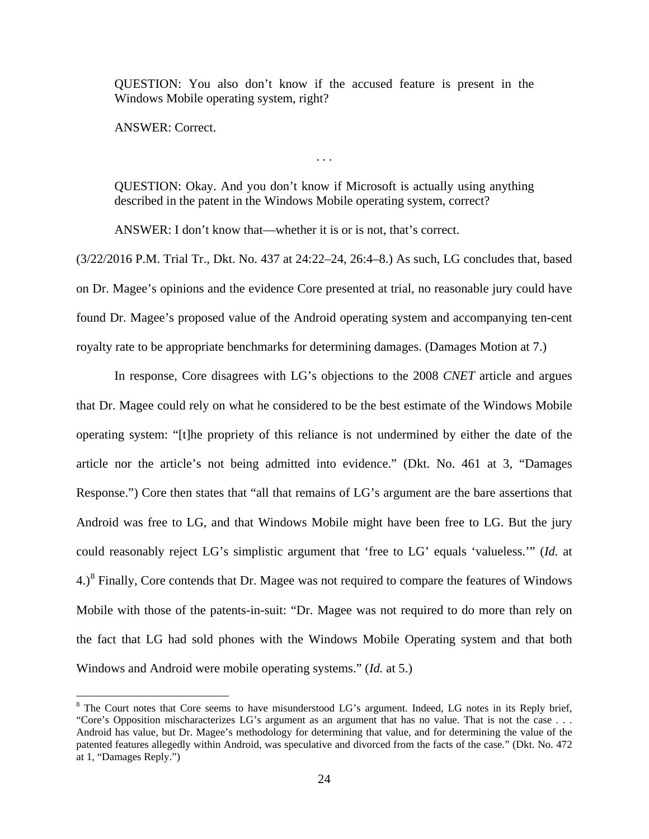QUESTION: You also don't know if the accused feature is present in the Windows Mobile operating system, right?

ANSWER: Correct.

<u>.</u>

QUESTION: Okay. And you don't know if Microsoft is actually using anything described in the patent in the Windows Mobile operating system, correct?

. . .

ANSWER: I don't know that—whether it is or is not, that's correct.

(3/22/2016 P.M. Trial Tr., Dkt. No. 437 at 24:22–24, 26:4–8.) As such, LG concludes that, based on Dr. Magee's opinions and the evidence Core presented at trial, no reasonable jury could have found Dr. Magee's proposed value of the Android operating system and accompanying ten-cent royalty rate to be appropriate benchmarks for determining damages. (Damages Motion at 7.)

In response, Core disagrees with LG's objections to the 2008 *CNET* article and argues that Dr. Magee could rely on what he considered to be the best estimate of the Windows Mobile operating system: "[t]he propriety of this reliance is not undermined by either the date of the article nor the article's not being admitted into evidence." (Dkt. No. 461 at 3, "Damages Response.") Core then states that "all that remains of LG's argument are the bare assertions that Android was free to LG, and that Windows Mobile might have been free to LG. But the jury could reasonably reject LG's simplistic argument that 'free to LG' equals 'valueless.'" (*Id.* at  $4.$ <sup>[8](#page-23-0)</sup> Finally, Core contends that Dr. Magee was not required to compare the features of Windows Mobile with those of the patents-in-suit: "Dr. Magee was not required to do more than rely on the fact that LG had sold phones with the Windows Mobile Operating system and that both Windows and Android were mobile operating systems." (*Id.* at 5.)

<span id="page-23-0"></span><sup>&</sup>lt;sup>8</sup> The Court notes that Core seems to have misunderstood LG's argument. Indeed, LG notes in its Reply brief, "Core's Opposition mischaracterizes LG's argument as an argument that has no value. That is not the case . . . Android has value, but Dr. Magee's methodology for determining that value, and for determining the value of the patented features allegedly within Android, was speculative and divorced from the facts of the case." (Dkt. No. 472 at 1, "Damages Reply.")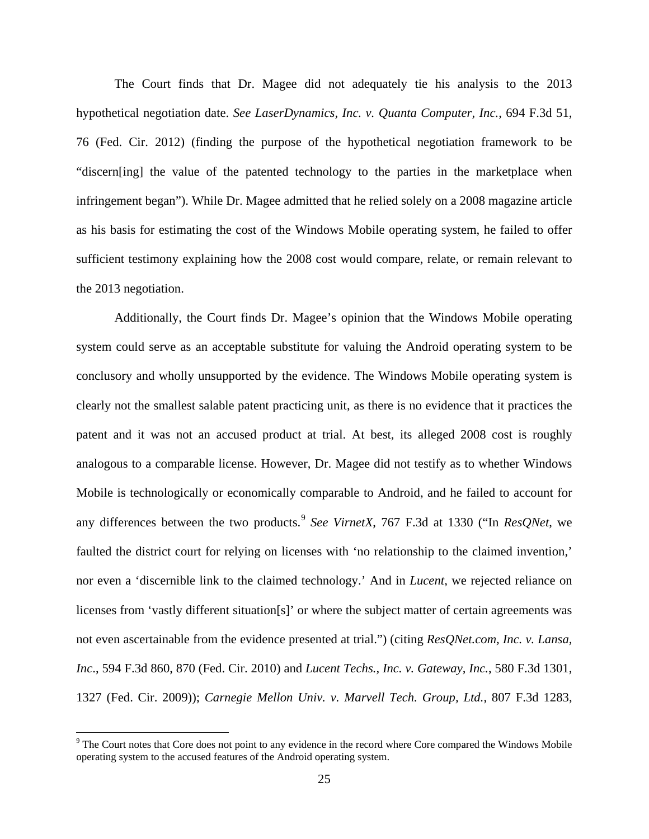The Court finds that Dr. Magee did not adequately tie his analysis to the 2013 hypothetical negotiation date. *See LaserDynamics, Inc. v. Quanta Computer, Inc.*, 694 F.3d 51, 76 (Fed. Cir. 2012) (finding the purpose of the hypothetical negotiation framework to be "discern[ing] the value of the patented technology to the parties in the marketplace when infringement began"). While Dr. Magee admitted that he relied solely on a 2008 magazine article as his basis for estimating the cost of the Windows Mobile operating system, he failed to offer sufficient testimony explaining how the 2008 cost would compare, relate, or remain relevant to the 2013 negotiation.

Additionally, the Court finds Dr. Magee's opinion that the Windows Mobile operating system could serve as an acceptable substitute for valuing the Android operating system to be conclusory and wholly unsupported by the evidence. The Windows Mobile operating system is clearly not the smallest salable patent practicing unit, as there is no evidence that it practices the patent and it was not an accused product at trial. At best, its alleged 2008 cost is roughly analogous to a comparable license. However, Dr. Magee did not testify as to whether Windows Mobile is technologically or economically comparable to Android, and he failed to account for any differences between the two products.<sup>[9](#page-24-0)</sup> See VirnetX, 767 F.3d at 1330 ("In *ResQNet*, we faulted the district court for relying on licenses with 'no relationship to the claimed invention,' nor even a 'discernible link to the claimed technology.' And in *Lucent*, we rejected reliance on licenses from 'vastly different situation[s]' or where the subject matter of certain agreements was not even ascertainable from the evidence presented at trial.") (citing *ResQNet.com, Inc. v. Lansa, Inc*., 594 F.3d 860, 870 (Fed. Cir. 2010) and *Lucent Techs., Inc. v. Gateway, Inc.*, 580 F.3d 1301, 1327 (Fed. Cir. 2009)); *Carnegie Mellon Univ. v. Marvell Tech. Group, Ltd.*, 807 F.3d 1283,

 $\overline{a}$ 

<span id="page-24-0"></span><sup>&</sup>lt;sup>9</sup> The Court notes that Core does not point to any evidence in the record where Core compared the Windows Mobile operating system to the accused features of the Android operating system.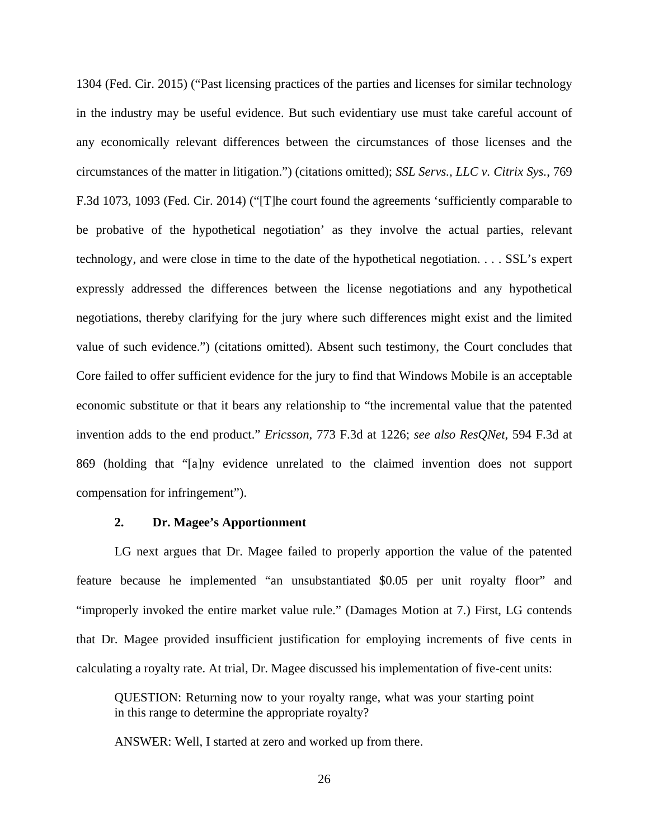1304 (Fed. Cir. 2015) ("Past licensing practices of the parties and licenses for similar technology in the industry may be useful evidence. But such evidentiary use must take careful account of any economically relevant differences between the circumstances of those licenses and the circumstances of the matter in litigation.") (citations omitted); *SSL Servs., LLC v. Citrix Sys.*, 769 F.3d 1073, 1093 (Fed. Cir. 2014) ("[T]he court found the agreements 'sufficiently comparable to be probative of the hypothetical negotiation' as they involve the actual parties, relevant technology, and were close in time to the date of the hypothetical negotiation. . . . SSL's expert expressly addressed the differences between the license negotiations and any hypothetical negotiations, thereby clarifying for the jury where such differences might exist and the limited value of such evidence.") (citations omitted). Absent such testimony, the Court concludes that Core failed to offer sufficient evidence for the jury to find that Windows Mobile is an acceptable economic substitute or that it bears any relationship to "the incremental value that the patented invention adds to the end product." *Ericsson*, 773 F.3d at 1226; *see also ResQNet*, 594 F.3d at 869 (holding that "[a]ny evidence unrelated to the claimed invention does not support compensation for infringement").

### **2. Dr. Magee's Apportionment**

LG next argues that Dr. Magee failed to properly apportion the value of the patented feature because he implemented "an unsubstantiated \$0.05 per unit royalty floor" and "improperly invoked the entire market value rule." (Damages Motion at 7.) First, LG contends that Dr. Magee provided insufficient justification for employing increments of five cents in calculating a royalty rate. At trial, Dr. Magee discussed his implementation of five-cent units:

QUESTION: Returning now to your royalty range, what was your starting point in this range to determine the appropriate royalty?

ANSWER: Well, I started at zero and worked up from there.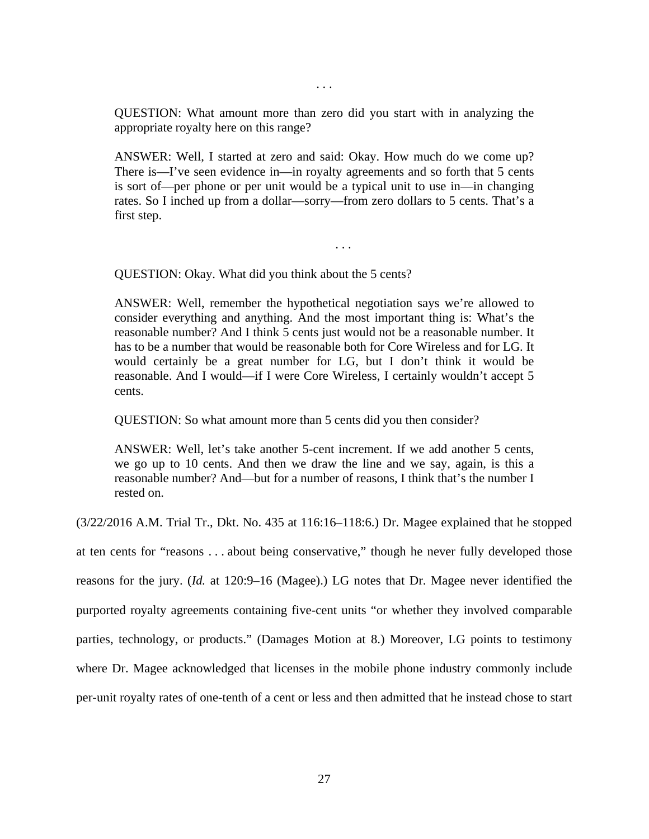QUESTION: What amount more than zero did you start with in analyzing the appropriate royalty here on this range?

. . .

ANSWER: Well, I started at zero and said: Okay. How much do we come up? There is—I've seen evidence in—in royalty agreements and so forth that 5 cents is sort of—per phone or per unit would be a typical unit to use in—in changing rates. So I inched up from a dollar—sorry—from zero dollars to 5 cents. That's a first step.

. . .

QUESTION: Okay. What did you think about the 5 cents?

ANSWER: Well, remember the hypothetical negotiation says we're allowed to consider everything and anything. And the most important thing is: What's the reasonable number? And I think 5 cents just would not be a reasonable number. It has to be a number that would be reasonable both for Core Wireless and for LG. It would certainly be a great number for LG, but I don't think it would be reasonable. And I would—if I were Core Wireless, I certainly wouldn't accept 5 cents.

QUESTION: So what amount more than 5 cents did you then consider?

ANSWER: Well, let's take another 5-cent increment. If we add another 5 cents, we go up to 10 cents. And then we draw the line and we say, again, is this a reasonable number? And—but for a number of reasons, I think that's the number I rested on.

(3/22/2016 A.M. Trial Tr., Dkt. No. 435 at 116:16–118:6.) Dr. Magee explained that he stopped at ten cents for "reasons . . . about being conservative," though he never fully developed those reasons for the jury. (*Id.* at 120:9–16 (Magee).) LG notes that Dr. Magee never identified the purported royalty agreements containing five-cent units "or whether they involved comparable parties, technology, or products." (Damages Motion at 8.) Moreover, LG points to testimony where Dr. Magee acknowledged that licenses in the mobile phone industry commonly include per-unit royalty rates of one-tenth of a cent or less and then admitted that he instead chose to start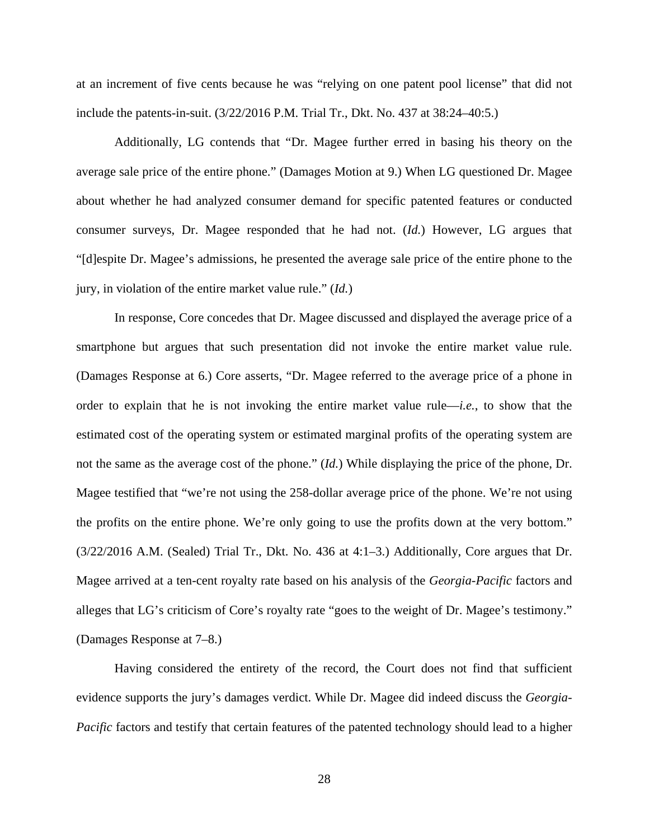at an increment of five cents because he was "relying on one patent pool license" that did not include the patents-in-suit. (3/22/2016 P.M. Trial Tr., Dkt. No. 437 at 38:24–40:5.)

Additionally, LG contends that "Dr. Magee further erred in basing his theory on the average sale price of the entire phone." (Damages Motion at 9.) When LG questioned Dr. Magee about whether he had analyzed consumer demand for specific patented features or conducted consumer surveys, Dr. Magee responded that he had not. (*Id.*) However, LG argues that "[d]espite Dr. Magee's admissions, he presented the average sale price of the entire phone to the jury, in violation of the entire market value rule." (*Id.*)

 In response, Core concedes that Dr. Magee discussed and displayed the average price of a smartphone but argues that such presentation did not invoke the entire market value rule. (Damages Response at 6.) Core asserts, "Dr. Magee referred to the average price of a phone in order to explain that he is not invoking the entire market value rule—*i.e.*, to show that the estimated cost of the operating system or estimated marginal profits of the operating system are not the same as the average cost of the phone." (*Id.*) While displaying the price of the phone, Dr. Magee testified that "we're not using the 258-dollar average price of the phone. We're not using the profits on the entire phone. We're only going to use the profits down at the very bottom." (3/22/2016 A.M. (Sealed) Trial Tr., Dkt. No. 436 at 4:1–3.) Additionally, Core argues that Dr. Magee arrived at a ten-cent royalty rate based on his analysis of the *Georgia-Pacific* factors and alleges that LG's criticism of Core's royalty rate "goes to the weight of Dr. Magee's testimony." (Damages Response at 7–8.)

Having considered the entirety of the record, the Court does not find that sufficient evidence supports the jury's damages verdict. While Dr. Magee did indeed discuss the *Georgia-Pacific* factors and testify that certain features of the patented technology should lead to a higher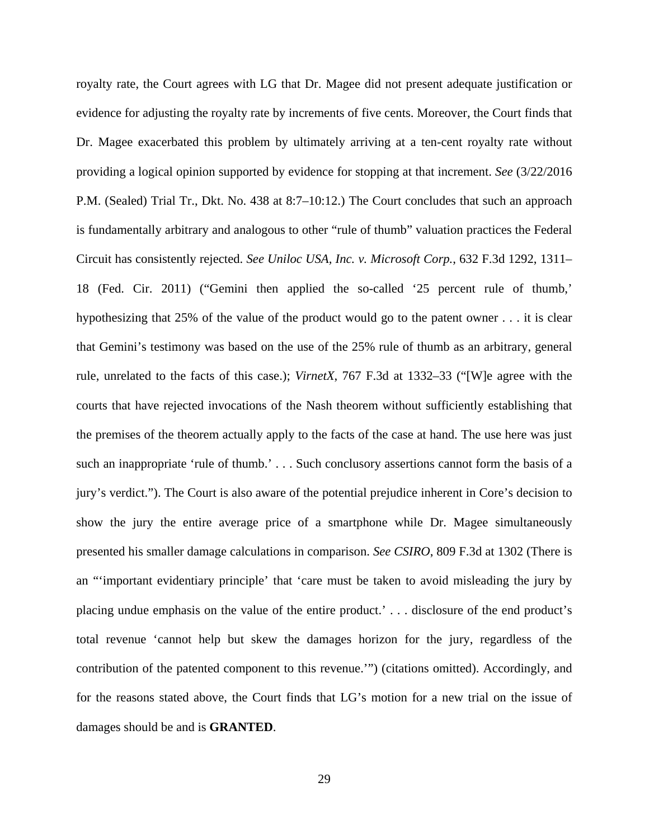royalty rate, the Court agrees with LG that Dr. Magee did not present adequate justification or evidence for adjusting the royalty rate by increments of five cents. Moreover, the Court finds that Dr. Magee exacerbated this problem by ultimately arriving at a ten-cent royalty rate without providing a logical opinion supported by evidence for stopping at that increment. *See* (3/22/2016 P.M. (Sealed) Trial Tr., Dkt. No. 438 at 8:7–10:12.) The Court concludes that such an approach is fundamentally arbitrary and analogous to other "rule of thumb" valuation practices the Federal Circuit has consistently rejected. *See Uniloc USA, Inc. v. Microsoft Corp.*, 632 F.3d 1292, 1311– 18 (Fed. Cir. 2011) ("Gemini then applied the so-called '25 percent rule of thumb,' hypothesizing that 25% of the value of the product would go to the patent owner . . . it is clear that Gemini's testimony was based on the use of the 25% rule of thumb as an arbitrary, general rule, unrelated to the facts of this case.); *VirnetX*, 767 F.3d at 1332–33 ("[W]e agree with the courts that have rejected invocations of the Nash theorem without sufficiently establishing that the premises of the theorem actually apply to the facts of the case at hand. The use here was just such an inappropriate 'rule of thumb.' . . . Such conclusory assertions cannot form the basis of a jury's verdict."). The Court is also aware of the potential prejudice inherent in Core's decision to show the jury the entire average price of a smartphone while Dr. Magee simultaneously presented his smaller damage calculations in comparison. *See CSIRO*, 809 F.3d at 1302 (There is an "'important evidentiary principle' that 'care must be taken to avoid misleading the jury by placing undue emphasis on the value of the entire product.' . . . disclosure of the end product's total revenue 'cannot help but skew the damages horizon for the jury, regardless of the contribution of the patented component to this revenue.'") (citations omitted). Accordingly, and for the reasons stated above, the Court finds that LG's motion for a new trial on the issue of damages should be and is **GRANTED**.